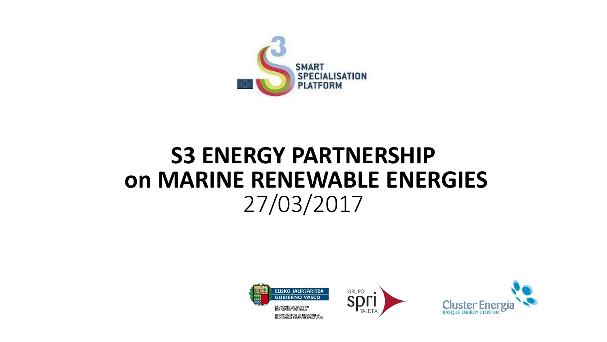

### **S3 ENERGY PARTNERSHIP on MARINE RENEWABLE ENERGIES** 27/03/2017





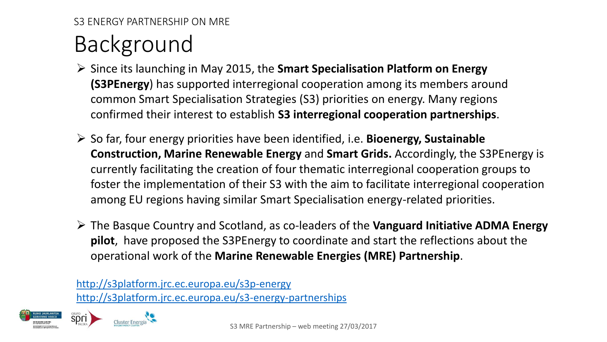## Background

- Since its launching in May 2015, the **Smart Specialisation Platform on Energy (S3PEnergy**) has supported interregional cooperation among its members around common Smart Specialisation Strategies (S3) priorities on energy. Many regions confirmed their interest to establish **S3 interregional cooperation partnerships**.
- So far, four energy priorities have been identified, i.e. **Bioenergy, Sustainable Construction, Marine Renewable Energy** and **Smart Grids.** Accordingly, the S3PEnergy is currently facilitating the creation of four thematic interregional cooperation groups to foster the implementation of their S3 with the aim to facilitate interregional cooperation among EU regions having similar Smart Specialisation energy-related priorities.
- The Basque Country and Scotland, as co-leaders of the **Vanguard Initiative ADMA Energy pilot**, have proposed the S3PEnergy to coordinate and start the reflections about the operational work of the **Marine Renewable Energies (MRE) Partnership**.

htt[p://s3platform.jrc.ec.europa.eu/s3p-energy](http://s3platform.jrc.ec.europa.eu/s3p-energy) <http://s3platform.jrc.ec.europa.eu/s3-energy-partnerships>



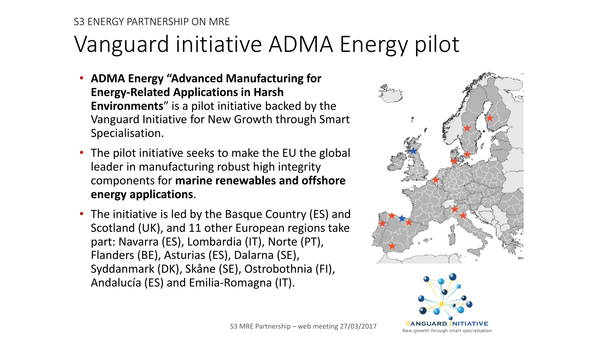### Vanguard initiative ADMA Energy pilot

- **ADMA Energy "Advanced Manufacturing for Energy-Related Applications in Harsh Environments**" is a pilot initiative backed by the Vanguard Initiative for New Growth through Smart Specialisation.
- The pilot initiative seeks to make the EU the global leader in manufacturing robust high integrity components for **marine renewables and offshore energy applications**.
- The initiative is led by the Basque Country (ES) and Scotland (UK), and 11 other European regions take part: Navarra (ES), Lombardia (IT), Norte (PT), Flanders (BE), Asturias (ES), Dalarna (SE), Syddanmark (DK), Skåne (SE), Ostrobothnia (FI), Andalucía (ES) and Emilia-Romagna (IT).

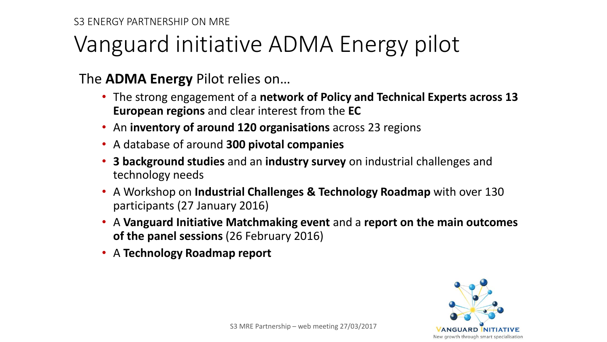### Vanguard initiative ADMA Energy pilot

The **ADMA Energy** Pilot relies on…

- The strong engagement of a **network of Policy and Technical Experts across 13 European regions** and clear interest from the **EC**
- An **inventory of around 120 organisations** across 23 regions
- A database of around **300 pivotal companies**
- **3 background studies** and an **industry survey** on industrial challenges and technology needs
- A Workshop on **Industrial Challenges & Technology Roadmap** with over 130 participants (27 January 2016)
- A **Vanguard Initiative Matchmaking event** and a **report on the main outcomes of the panel sessions** (26 February 2016)
- A **Technology Roadmap report**

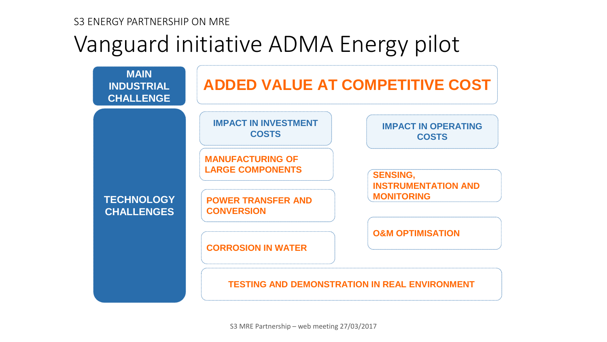### Vanguard initiative ADMA Energy pilot

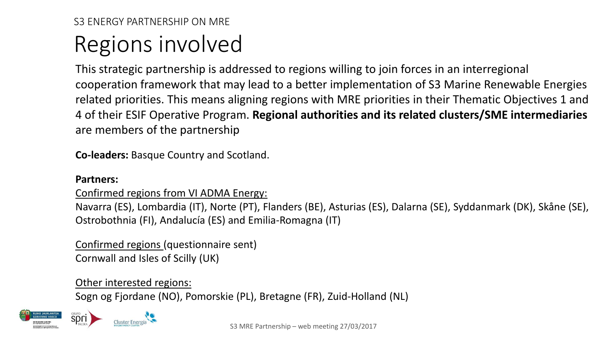## Regions involved

This strategic partnership is addressed to regions willing to join forces in an interregional cooperation framework that may lead to a better implementation of S3 Marine Renewable Energies related priorities. This means aligning regions with MRE priorities in their Thematic Objectives 1 and 4 of their ESIF Operative Program. **Regional authorities and its related clusters/SME intermediaries**  are members of the partnership

**Co-leaders:** Basque Country and Scotland.

#### **Partners:**

#### Confirmed regions from VI ADMA Energy:

Navarra (ES), Lombardia (IT), Norte (PT), Flanders (BE), Asturias (ES), Dalarna (SE), Syddanmark (DK), Skåne (SE), Ostrobothnia (FI), Andalucía (ES) and Emilia-Romagna (IT)

Confirmed regions (questionnaire sent) Cornwall and Isles of Scilly (UK)

#### Other interested regions:

Sogn og Fjordane (NO), Pomorskie (PL), Bretagne (FR), Zuid-Holland (NL)



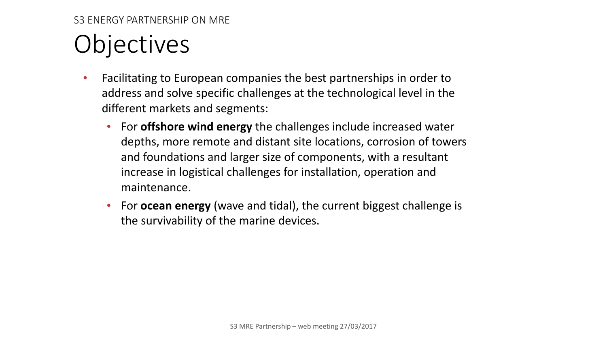# **Objectives**

- Facilitating to European companies the best partnerships in order to address and solve specific challenges at the technological level in the different markets and segments:
	- For **offshore wind energy** the challenges include increased water depths, more remote and distant site locations, corrosion of towers and foundations and larger size of components, with a resultant increase in logistical challenges for installation, operation and maintenance.
	- For **ocean energy** (wave and tidal), the current biggest challenge is the survivability of the marine devices.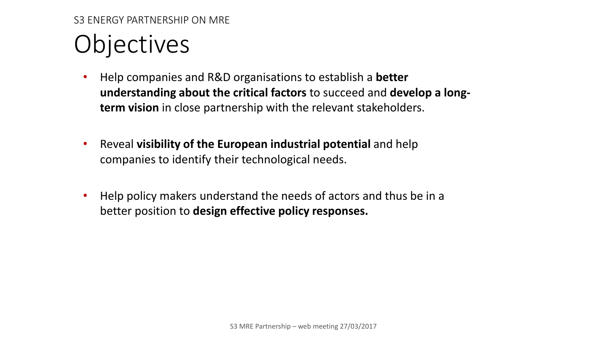# Objectives

- Help companies and R&D organisations to establish a **better understanding about the critical factors** to succeed and **develop a longterm vision** in close partnership with the relevant stakeholders.
- Reveal **visibility of the European industrial potential** and help companies to identify their technological needs.
- Help policy makers understand the needs of actors and thus be in a better position to **design effective policy responses.**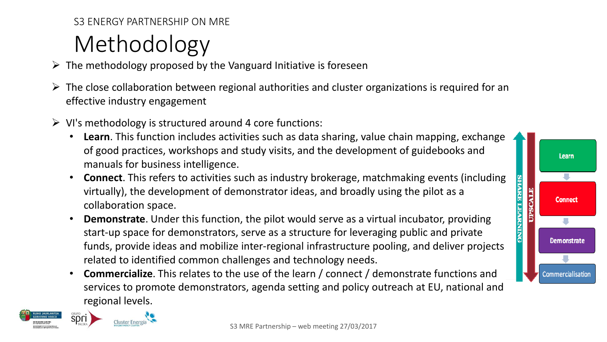## Methodology

- $\triangleright$  The methodology proposed by the Vanguard Initiative is foreseen
- $\triangleright$  The close collaboration between regional authorities and cluster organizations is required for an effective industry engagement
- $\triangleright$  VI's methodology is structured around 4 core functions:
	- **Learn**. This function includes activities such as data sharing, value chain mapping, exchange of good practices, workshops and study visits, and the development of guidebooks and manuals for business intelligence.

Learn

٠

**Connect** 

J.

**Demonstrate** 

a.

Commercialisation

**SHARE LEARNING UPSCALE** 

- **Connect**. This refers to activities such as industry brokerage, matchmaking events (including virtually), the development of demonstrator ideas, and broadly using the pilot as a collaboration space.
- **Demonstrate**. Under this function, the pilot would serve as a virtual incubator, providing start-up space for demonstrators, serve as a structure for leveraging public and private funds, provide ideas and mobilize inter-regional infrastructure pooling, and deliver projects related to identified common challenges and technology needs.
- **Commercialize**. This relates to the use of the learn / connect / demonstrate functions and services to promote demonstrators, agenda setting and policy outreach at EU, national and regional levels.

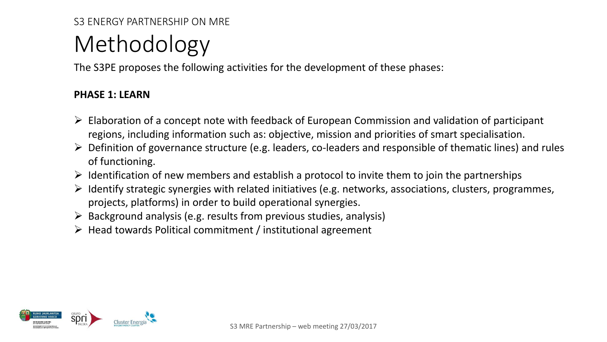### Methodology

The S3PE proposes the following activities for the development of these phases:

#### **PHASE 1: LEARN**

- $\triangleright$  Elaboration of a concept note with feedback of European Commission and validation of participant regions, including information such as: objective, mission and priorities of smart specialisation.
- $\triangleright$  Definition of governance structure (e.g. leaders, co-leaders and responsible of thematic lines) and rules of functioning.
- $\triangleright$  Identification of new members and establish a protocol to invite them to join the partnerships
- $\triangleright$  Identify strategic synergies with related initiatives (e.g. networks, associations, clusters, programmes, projects, platforms) in order to build operational synergies.
- $\triangleright$  Background analysis (e.g. results from previous studies, analysis)
- $\triangleright$  Head towards Political commitment / institutional agreement

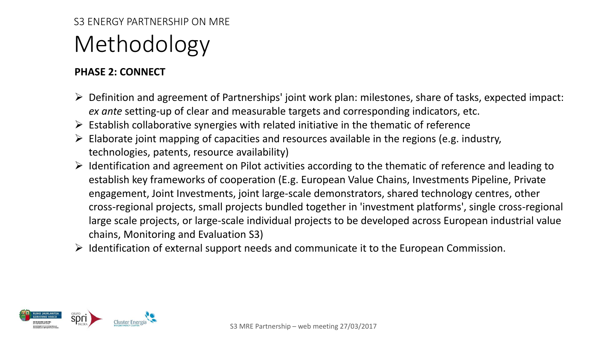### S3 ENERGY PARTNERSHIP ON MRE Methodology

#### **PHASE 2: CONNECT**

- $\triangleright$  Definition and agreement of Partnerships' joint work plan: milestones, share of tasks, expected impact: *ex ante* setting-up of clear and measurable targets and corresponding indicators, etc.
- $\triangleright$  Establish collaborative synergies with related initiative in the thematic of reference
- $\triangleright$  Elaborate joint mapping of capacities and resources available in the regions (e.g. industry, technologies, patents, resource availability)
- $\triangleright$  Identification and agreement on Pilot activities according to the thematic of reference and leading to establish key frameworks of cooperation (E.g. European Value Chains, Investments Pipeline, Private engagement, Joint Investments, joint large-scale demonstrators, shared technology centres, other cross-regional projects, small projects bundled together in 'investment platforms', single cross-regional large scale projects, or large-scale individual projects to be developed across European industrial value chains, Monitoring and Evaluation S3)
- $\triangleright$  Identification of external support needs and communicate it to the European Commission.

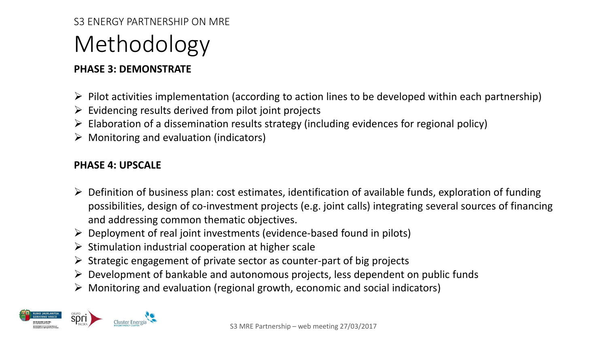## Methodology

### **PHASE 3: DEMONSTRATE**

- $\triangleright$  Pilot activities implementation (according to action lines to be developed within each partnership)
- $\triangleright$  Evidencing results derived from pilot joint projects
- $\triangleright$  Elaboration of a dissemination results strategy (including evidences for regional policy)
- $\triangleright$  Monitoring and evaluation (indicators)

#### **PHASE 4: UPSCALE**

- $\triangleright$  Definition of business plan: cost estimates, identification of available funds, exploration of funding possibilities, design of co-investment projects (e.g. joint calls) integrating several sources of financing and addressing common thematic objectives.
- $\triangleright$  Deployment of real joint investments (evidence-based found in pilots)
- $\triangleright$  Stimulation industrial cooperation at higher scale
- $\triangleright$  Strategic engagement of private sector as counter-part of big projects
- $\triangleright$  Development of bankable and autonomous projects, less dependent on public funds
- $\triangleright$  Monitoring and evaluation (regional growth, economic and social indicators)

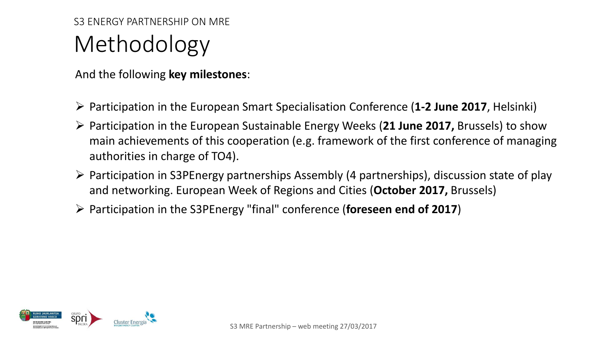### S3 ENERGY PARTNERSHIP ON MRE Methodology

And the following **key milestones**:

- Participation in the European Smart Specialisation Conference (**1-2 June 2017**, Helsinki)
- Participation in the European Sustainable Energy Weeks (**21 June 2017,** Brussels) to show main achievements of this cooperation (e.g. framework of the first conference of managing authorities in charge of TO4).
- $\triangleright$  Participation in S3PEnergy partnerships Assembly (4 partnerships), discussion state of play and networking. European Week of Regions and Cities (**October 2017,** Brussels)
- Participation in the S3PEnergy "final" conference (**foreseen end of 2017**)

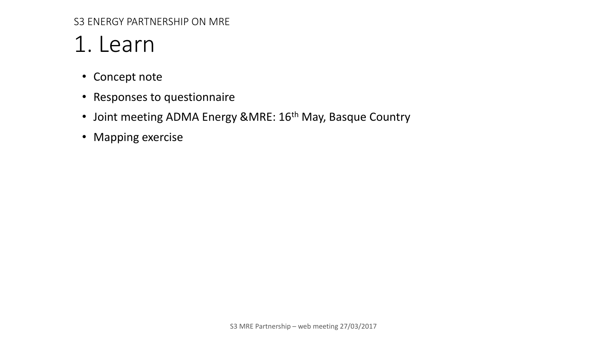### 1. Learn

- Concept note
- Responses to questionnaire
- Joint meeting ADMA Energy &MRE: 16<sup>th</sup> May, Basque Country
- Mapping exercise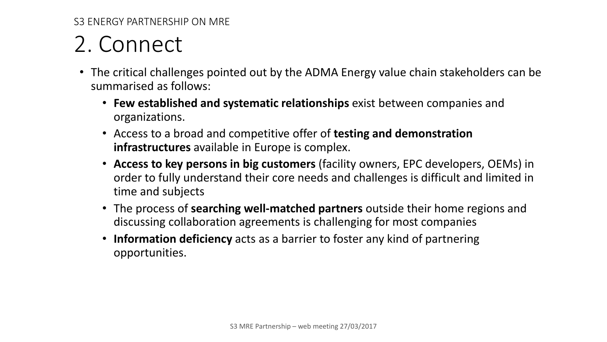## 2. Connect

- The critical challenges pointed out by the ADMA Energy value chain stakeholders can be summarised as follows:
	- **Few established and systematic relationships** exist between companies and organizations.
	- Access to a broad and competitive offer of **testing and demonstration infrastructures** available in Europe is complex.
	- **Access to key persons in big customers** (facility owners, EPC developers, OEMs) in order to fully understand their core needs and challenges is difficult and limited in time and subjects
	- The process of **searching well-matched partners** outside their home regions and discussing collaboration agreements is challenging for most companies
	- **Information deficiency** acts as a barrier to foster any kind of partnering opportunities.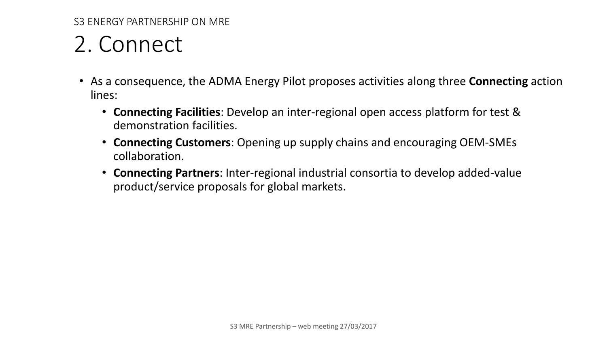### 2. Connect

- As a consequence, the ADMA Energy Pilot proposes activities along three **Connecting** action lines:
	- **Connecting Facilities**: Develop an inter-regional open access platform for test & demonstration facilities.
	- **Connecting Customers**: Opening up supply chains and encouraging OEM-SMEs collaboration.
	- **Connecting Partners**: Inter-regional industrial consortia to develop added-value product/service proposals for global markets.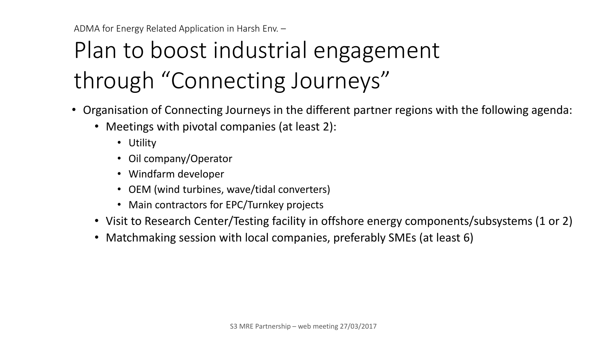# Plan to boost industrial engagement through "Connecting Journeys"

- Organisation of Connecting Journeys in the different partner regions with the following agenda:
	- Meetings with pivotal companies (at least 2):
		- Utility
		- Oil company/Operator
		- Windfarm developer
		- OEM (wind turbines, wave/tidal converters)
		- Main contractors for EPC/Turnkey projects
	- Visit to Research Center/Testing facility in offshore energy components/subsystems (1 or 2)
	- Matchmaking session with local companies, preferably SMEs (at least 6)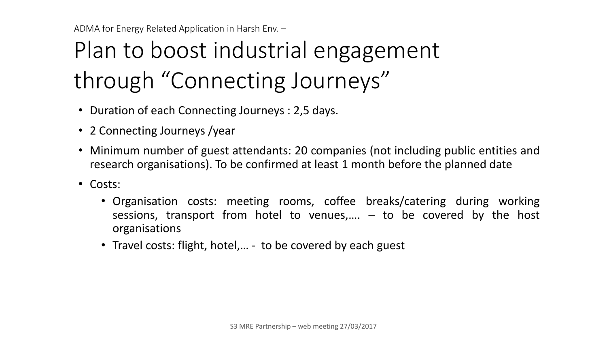# Plan to boost industrial engagement through "Connecting Journeys"

- Duration of each Connecting Journeys : 2,5 days.
- 2 Connecting Journeys / year
- Minimum number of guest attendants: 20 companies (not including public entities and research organisations). To be confirmed at least 1 month before the planned date
- Costs:
	- Organisation costs: meeting rooms, coffee breaks/catering during working sessions, transport from hotel to venues,....  $-$  to be covered by the host organisations
	- Travel costs: flight, hotel,... to be covered by each guest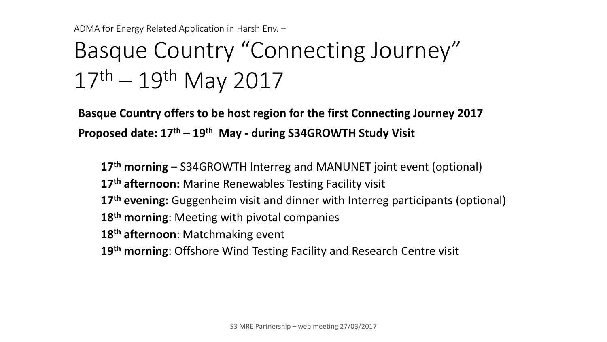## Basque Country "Connecting Journey" 17th – 19th May 2017

**Basque Country offers to be host region for the first Connecting Journey 2017 Proposed date: 17th – 19th May - during S34GROWTH Study Visit**

**th morning –** S34GROWTH Interreg and MANUNET joint event (optional) **th afternoon:** Marine Renewables Testing Facility visit **th evening:** Guggenheim visit and dinner with Interreg participants (optional) **th morning**: Meeting with pivotal companies **th afternoon**: Matchmaking event **th morning**: Offshore Wind Testing Facility and Research Centre visit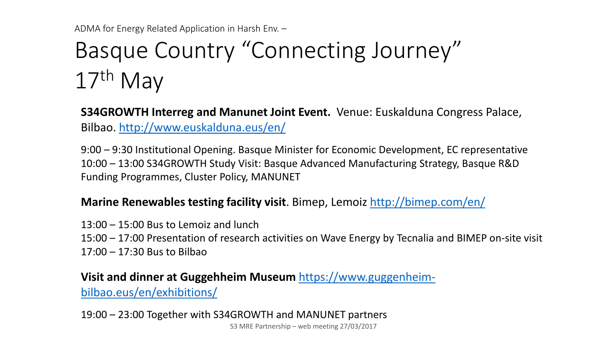## Basque Country "Connecting Journey" 17th May

**S34GROWTH Interreg and Manunet Joint Event.** Venue: Euskalduna Congress Palace, Bilbao.<http://www.euskalduna.eus/en/>

9:00 – 9:30 Institutional Opening. Basque Minister for Economic Development, EC representative 10:00 – 13:00 S34GROWTH Study Visit: Basque Advanced Manufacturing Strategy, Basque R&D Funding Programmes, Cluster Policy, MANUNET

### **Marine Renewables testing facility visit**. Bimep, Lemoiz <http://bimep.com/en/>

13:00 – 15:00 Bus to Lemoiz and lunch

15:00 – 17:00 Presentation of research activities on Wave Energy by Tecnalia and BIMEP on-site visit 17:00 – 17:30 Bus to Bilbao

### **Visit and dinner at Guggehheim Museum** [https://www.guggenheim](https://www.guggenheim-bilbao.eus/en/exhibitions/)[bilbao.eus/en/exhibitions/](https://www.guggenheim-bilbao.eus/en/exhibitions/)

19:00 – 23:00 Together with S34GROWTH and MANUNET partners S3 MRE Partnership – web meeting 27/03/2017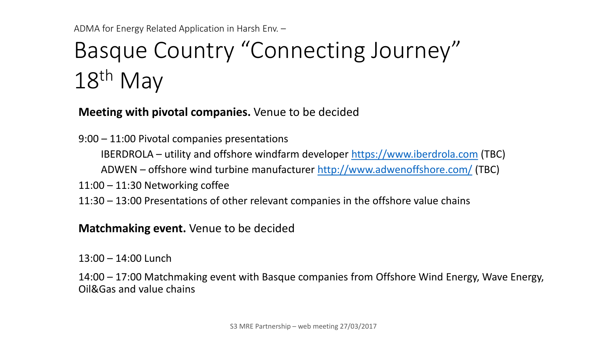## Basque Country "Connecting Journey" 18<sup>th</sup> May

**Meeting with pivotal companies.** Venue to be decided

9:00 – 11:00 Pivotal companies presentations

IBERDROLA – utility and offshore windfarm developer [https://www.iberdrola.com](https://www.iberdrola.com/) (TBC)

ADWEN – offshore wind turbine manufacturer <http://www.adwenoffshore.com/> (TBC)

11:00 – 11:30 Networking coffee

11:30 – 13:00 Presentations of other relevant companies in the offshore value chains

**Matchmaking event.** Venue to be decided

13:00 – 14:00 Lunch

14:00 – 17:00 Matchmaking event with Basque companies from Offshore Wind Energy, Wave Energy, Oil&Gas and value chains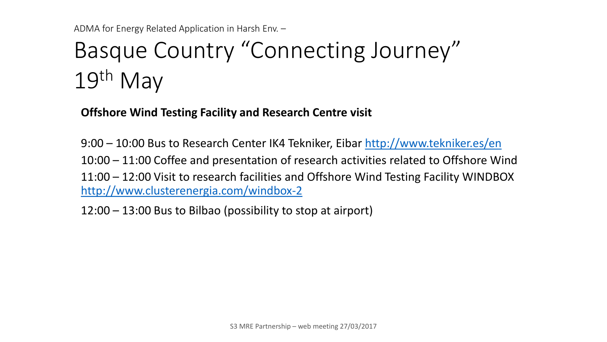## Basque Country "Connecting Journey" 19th May

**Offshore Wind Testing Facility and Research Centre visit**

9:00 – 10:00 Bus to Research Center IK4 Tekniker, Eibar <http://www.tekniker.es/en> 10:00 – 11:00 Coffee and presentation of research activities related to Offshore Wind 11:00 – 12:00 Visit to research facilities and Offshore Wind Testing Facility WINDBOX <http://www.clusterenergia.com/windbox-2>

12:00 – 13:00 Bus to Bilbao (possibility to stop at airport)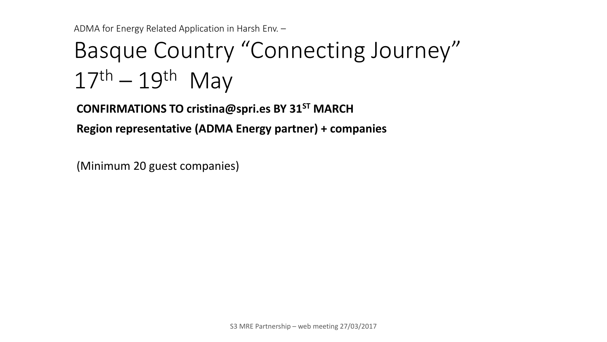# Basque Country "Connecting Journey"  $17<sup>th</sup> - 19<sup>th</sup>$  May

**CONFIRMATIONS TO cristina@spri.es BY 31ST MARCH**

**Region representative (ADMA Energy partner) + companies**

(Minimum 20 guest companies)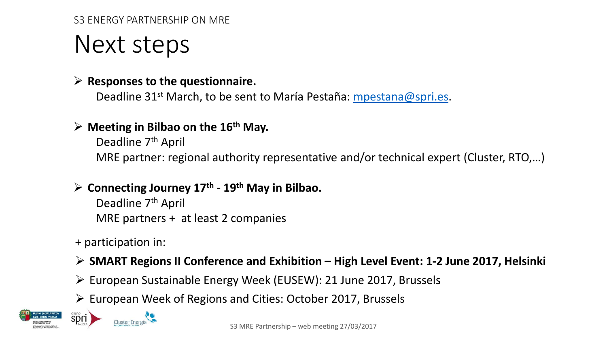### Next steps

### **Responses to the questionnaire.**

Deadline 31st March, to be sent to María Pestaña: [mpestana@spri.es](mailto:mpestana@spri.es).

### **Meeting in Bilbao on the 16th May.**

Deadline 7<sup>th</sup> April MRE partner: regional authority representative and/or technical expert (Cluster, RTO,…)

### **Connecting Journey 17th - 19th May in Bilbao.**

Deadline 7<sup>th</sup> April MRE partners + at least 2 companies

+ participation in:

**Cluster Energí** 

### **SMART Regions II Conference and Exhibition – High Level Event: 1-2 June 2017, Helsinki**

- European Sustainable Energy Week (EUSEW): 21 June 2017, Brussels
- $\triangleright$  European Week of Regions and Cities: October 2017, Brussels